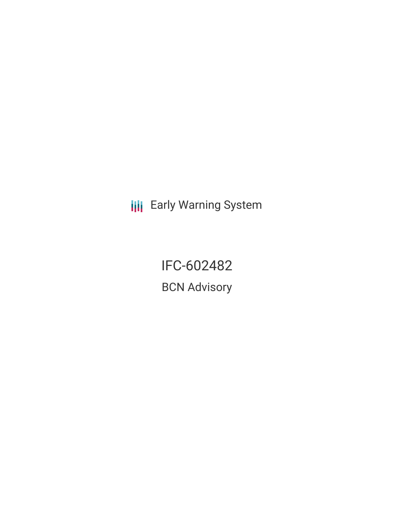**III** Early Warning System

IFC-602482 BCN Advisory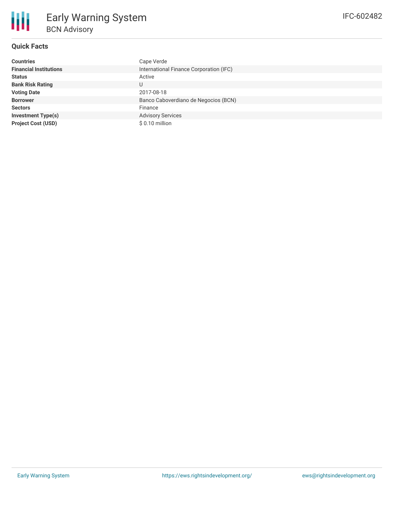

# **Quick Facts**

| <b>Countries</b>              | Cape Verde                              |
|-------------------------------|-----------------------------------------|
| <b>Financial Institutions</b> | International Finance Corporation (IFC) |
| <b>Status</b>                 | Active                                  |
| <b>Bank Risk Rating</b>       | U                                       |
| <b>Voting Date</b>            | 2017-08-18                              |
| <b>Borrower</b>               | Banco Caboverdiano de Negocios (BCN)    |
| <b>Sectors</b>                | Finance                                 |
| <b>Investment Type(s)</b>     | <b>Advisory Services</b>                |
| <b>Project Cost (USD)</b>     | \$ 0.10 million                         |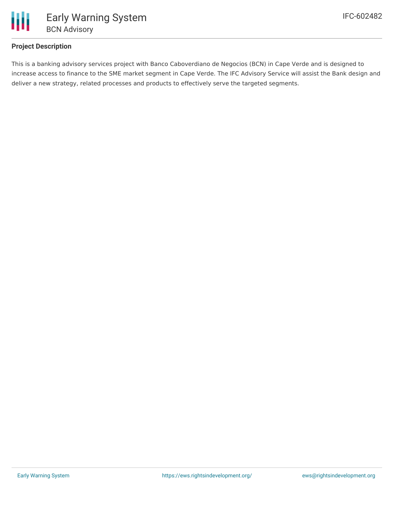

## **Project Description**

This is a banking advisory services project with Banco Caboverdiano de Negocios (BCN) in Cape Verde and is designed to increase access to finance to the SME market segment in Cape Verde. The IFC Advisory Service will assist the Bank design and deliver a new strategy, related processes and products to effectively serve the targeted segments.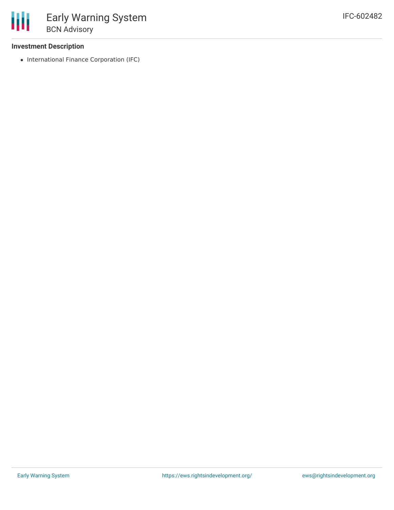### **Investment Description**

• International Finance Corporation (IFC)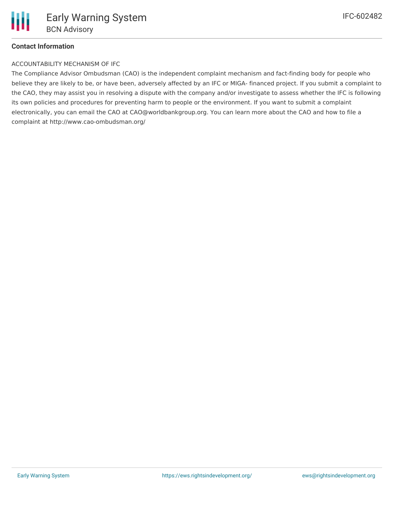#### **Contact Information**

#### ACCOUNTABILITY MECHANISM OF IFC

The Compliance Advisor Ombudsman (CAO) is the independent complaint mechanism and fact-finding body for people who believe they are likely to be, or have been, adversely affected by an IFC or MIGA- financed project. If you submit a complaint to the CAO, they may assist you in resolving a dispute with the company and/or investigate to assess whether the IFC is following its own policies and procedures for preventing harm to people or the environment. If you want to submit a complaint electronically, you can email the CAO at CAO@worldbankgroup.org. You can learn more about the CAO and how to file a complaint at http://www.cao-ombudsman.org/